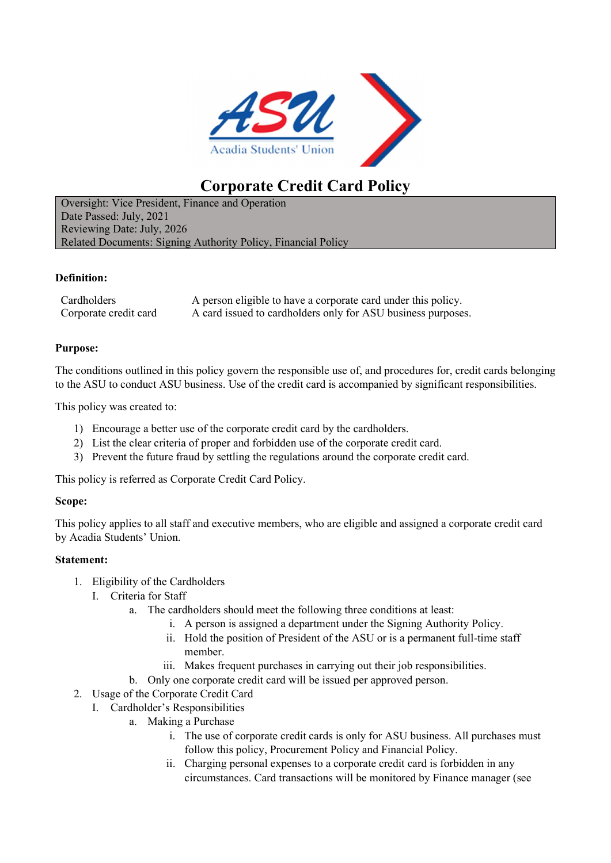

# Corporate Credit Card Policy

Oversight: Vice President, Finance and Operation Date Passed: July, 2021 Reviewing Date: July, 2026 Related Documents: Signing Authority Policy, Financial Policy

## Definition:

Cardholders A person eligible to have a corporate card under this policy. Corporate credit card A card issued to cardholders only for ASU business purposes.

## Purpose:

The conditions outlined in this policy govern the responsible use of, and procedures for, credit cards belonging to the ASU to conduct ASU business. Use of the credit card is accompanied by significant responsibilities.

This policy was created to:

- 1) Encourage a better use of the corporate credit card by the cardholders.
- 2) List the clear criteria of proper and forbidden use of the corporate credit card.
- 3) Prevent the future fraud by settling the regulations around the corporate credit card.

This policy is referred as Corporate Credit Card Policy.

## Scope:

This policy applies to all staff and executive members, who are eligible and assigned a corporate credit card by Acadia Students' Union.

## Statement:

- 1. Eligibility of the Cardholders
	- I. Criteria for Staff
		- a. The cardholders should meet the following three conditions at least:
			- i. A person is assigned a department under the Signing Authority Policy.
			- ii. Hold the position of President of the ASU or is a permanent full-time staff member.
			- iii. Makes frequent purchases in carrying out their job responsibilities.
		- b. Only one corporate credit card will be issued per approved person.
- 2. Usage of the Corporate Credit Card
	- I. Cardholder's Responsibilities
		- a. Making a Purchase
			- i. The use of corporate credit cards is only for ASU business. All purchases must follow this policy, Procurement Policy and Financial Policy.
			- ii. Charging personal expenses to a corporate credit card is forbidden in any circumstances. Card transactions will be monitored by Finance manager (see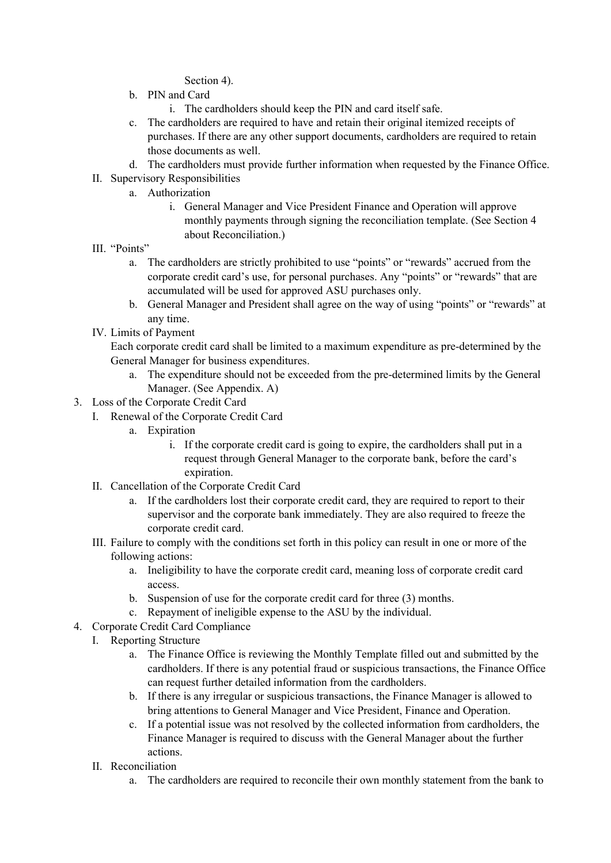Section 4).

- b. PIN and Card
	- i. The cardholders should keep the PIN and card itself safe.
- c. The cardholders are required to have and retain their original itemized receipts of purchases. If there are any other support documents, cardholders are required to retain those documents as well.
- d. The cardholders must provide further information when requested by the Finance Office.
- II. Supervisory Responsibilities
	- a. Authorization
		- i. General Manager and Vice President Finance and Operation will approve monthly payments through signing the reconciliation template. (See Section 4 about Reconciliation.)
- III. "Points"
	- a. The cardholders are strictly prohibited to use "points" or "rewards" accrued from the corporate credit card's use, for personal purchases. Any "points" or "rewards" that are accumulated will be used for approved ASU purchases only.
	- b. General Manager and President shall agree on the way of using "points" or "rewards" at any time.
- IV. Limits of Payment

Each corporate credit card shall be limited to a maximum expenditure as pre-determined by the General Manager for business expenditures.

- a. The expenditure should not be exceeded from the pre-determined limits by the General Manager. (See Appendix. A)
- 3. Loss of the Corporate Credit Card
	- I. Renewal of the Corporate Credit Card
		- a. Expiration
			- i. If the corporate credit card is going to expire, the cardholders shall put in a request through General Manager to the corporate bank, before the card's expiration.
	- II. Cancellation of the Corporate Credit Card
		- a. If the cardholders lost their corporate credit card, they are required to report to their supervisor and the corporate bank immediately. They are also required to freeze the corporate credit card.
	- III. Failure to comply with the conditions set forth in this policy can result in one or more of the following actions:
		- a. Ineligibility to have the corporate credit card, meaning loss of corporate credit card access.
		- b. Suspension of use for the corporate credit card for three (3) months.
		- c. Repayment of ineligible expense to the ASU by the individual.
- 4. Corporate Credit Card Compliance
	- I. Reporting Structure
		- a. The Finance Office is reviewing the Monthly Template filled out and submitted by the cardholders. If there is any potential fraud or suspicious transactions, the Finance Office can request further detailed information from the cardholders.
		- b. If there is any irregular or suspicious transactions, the Finance Manager is allowed to bring attentions to General Manager and Vice President, Finance and Operation.
		- c. If a potential issue was not resolved by the collected information from cardholders, the Finance Manager is required to discuss with the General Manager about the further actions.
		- II. Reconciliation
			- a. The cardholders are required to reconcile their own monthly statement from the bank to